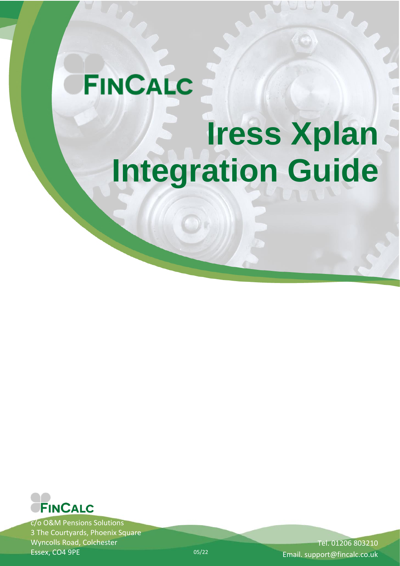# **FINCALC Iress Xplan Integration Guide**



c/o O&M Pensions Solutions 3 The Courtyards, Phoenix Square Wyncolls Road, Colchester Essex, CO4 9PE

Tel. 01206 803210 Email. support@fincalc.co.uk

05/22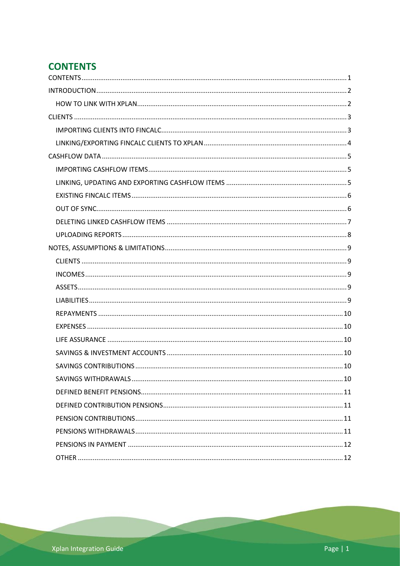# <span id="page-1-0"></span>**CONTENTS**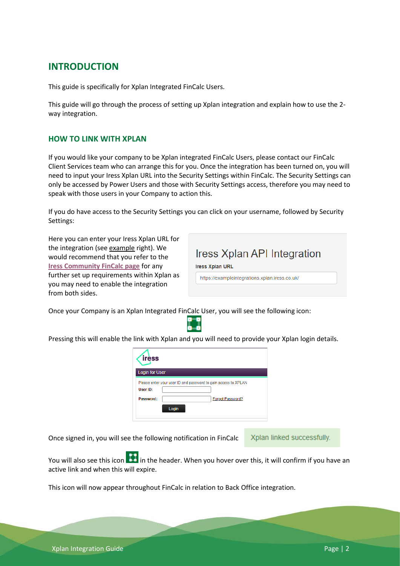### <span id="page-2-0"></span>**INTRODUCTION**

This guide is specifically for Xplan Integrated FinCalc Users.

This guide will go through the process of setting up Xplan integration and explain how to use the 2 way integration.

#### <span id="page-2-1"></span>**HOW TO LINK WITH XPLAN**

If you would like your company to be Xplan integrated FinCalc Users, please contact our FinCalc Client Services team who can arrange this for you. Once the integration has been turned on, you will need to input your Iress Xplan URL into the Security Settings within FinCalc. The Security Settings can only be accessed by Power Users and those with Security Settings access, therefore you may need to speak with those users in your Company to action this.

If you do have access to the Security Settings you can click on your username, followed by Security Settings:

Here you can enter your Iress Xplan URL for the integration (see example right). We would recommend that you refer to the **[Iress Community FinCalc page](https://community.iress.com/t5/Xplan-Integrations/FinCalc/ta-p/39485)** for any further set up requirements within Xplan as you may need to enable the integration from both sides.

| Iress Xplan API Integration                                              |
|--------------------------------------------------------------------------|
| <b>Iress Xplan URL</b><br>https://exampleintegrations.xplan.iress.co.uk/ |

Once your Company is an Xplan Integrated FinCalc User, you will see the following icon:



Pressing this will enable the link with Xplan and you will need to provide your Xplan login details.

| <b>Login for User</b> |                                                                |
|-----------------------|----------------------------------------------------------------|
|                       | Please enter your user ID and password to gain access to XPLAN |
| User ID:<br>Password: | Forgot Password?                                               |

Once signed in, you will see the following notification in FinCalc

Xplan linked successfully.

You will also see this icon **in the header.** When you hover over this, it will confirm if you have an active link and when this will expire.

This icon will now appear throughout FinCalc in relation to Back Office integration.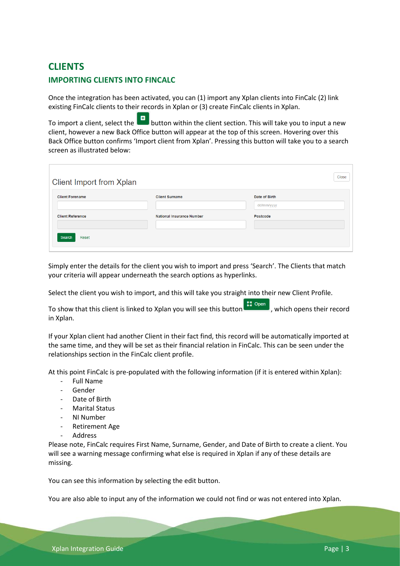## <span id="page-3-1"></span><span id="page-3-0"></span>**CLIENTS IMPORTING CLIENTS INTO FINCALC**

Once the integration has been activated, you can (1) import any Xplan clients into FinCalc (2) link existing FinCalc clients to their records in Xplan or (3) create FinCalc clients in Xplan.

To import a client, select the **button within the client section.** This will take you to input a new client, however a new Back Office button will appear at the top of this screen. Hovering over this Back Office button confirms 'Import client from Xplan'. Pressing this button will take you to a search screen as illustrated below:

| Client Import from Xplan |                                  |                             | Close |
|--------------------------|----------------------------------|-----------------------------|-------|
| <b>Client Forename</b>   | <b>Client Surname</b>            | Date of Birth<br>dd/mm/yyyy |       |
| <b>Client Reference</b>  | <b>National Insurance Number</b> | Postcode                    |       |
| Search<br>Reset          |                                  |                             |       |

Simply enter the details for the client you wish to import and press 'Search'. The Clients that match your criteria will appear underneath the search options as hyperlinks.

Select the client you wish to import, and this will take you straight into their new Client Profile.

To show that this client is linked to Xplan you will see this button  $\Box$  Open , which opens their record in Xplan.

If your Xplan client had another Client in their fact find, this record will be automatically imported at the same time, and they will be set as their financial relation in FinCalc. This can be seen under the relationships section in the FinCalc client profile.

At this point FinCalc is pre-populated with the following information (if it is entered within Xplan):

- Full Name
- Gender
- Date of Birth
- Marital Status
- NI Number
- Retirement Age
- **Address**

Please note, FinCalc requires First Name, Surname, Gender, and Date of Birth to create a client. You will see a warning message confirming what else is required in Xplan if any of these details are missing.

You can see this information by selecting the edit button.

You are also able to input any of the information we could not find or was not entered into Xplan.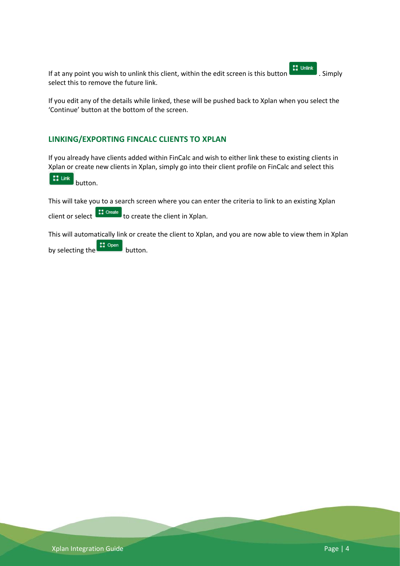If at any point you wish to unlink this client, within the edit screen is this button  $\blacksquare$ . Simply select this to remove the future link.

If you edit any of the details while linked, these will be pushed back to Xplan when you select the 'Continue' button at the bottom of the screen.

#### <span id="page-4-0"></span>**LINKING/EXPORTING FINCALC CLIENTS TO XPLAN**

If you already have clients added within FinCalc and wish to either link these to existing clients in Xplan or create new clients in Xplan, simply go into their client profile on FinCalc and select this

 $\begin{bmatrix} 1 \\ 2 \end{bmatrix}$  Link button.

This will take you to a search screen where you can enter the criteria to link to an existing Xplan

client or select  $\left\{ \begin{array}{c} \text{...} \\ \text{...} \\ \text{...} \end{array} \right\}$  to create the client in Xplan.

This will automatically link or create the client to Xplan, and you are now able to view them in Xplan by selecting the **container** button.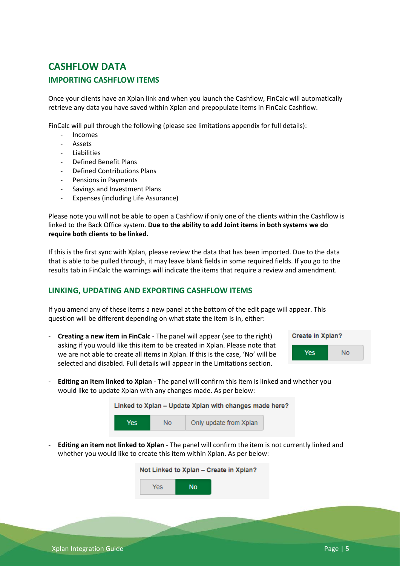## <span id="page-5-1"></span><span id="page-5-0"></span>**CASHFLOW DATA IMPORTING CASHFLOW ITEMS**

Once your clients have an Xplan link and when you launch the Cashflow, FinCalc will automatically retrieve any data you have saved within Xplan and prepopulate items in FinCalc Cashflow.

FinCalc will pull through the following (please see limitations appendix for full details):

- Incomes
- **Assets**
- Liabilities
- Defined Benefit Plans
- Defined Contributions Plans
- Pensions in Payments
- Savings and Investment Plans
- Expenses (including Life Assurance)

Please note you will not be able to open a Cashflow if only one of the clients within the Cashflow is linked to the Back Office system. **Due to the ability to add Joint items in both systems we do require both clients to be linked.** 

If this is the first sync with Xplan, please review the data that has been imported. Due to the data that is able to be pulled through, it may leave blank fields in some required fields. If you go to the results tab in FinCalc the warnings will indicate the items that require a review and amendment.

#### <span id="page-5-2"></span>**LINKING, UPDATING AND EXPORTING CASHFLOW ITEMS**

If you amend any of these items a new panel at the bottom of the edit page will appear. This question will be different depending on what state the item is in, either:

- **Creating a new item in FinCalc** - The panel will appear (see to the right) asking if you would like this item to be created in Xplan. Please note that we are not able to create all items in Xplan. If this is the case, 'No' will be selected and disabled. Full details will appear in the Limitations section.



- **Editing an item linked to Xplan** - The panel will confirm this item is linked and whether you would like to update Xplan with any changes made. As per below:

| Linked to Xplan – Update Xplan with changes made here? |                |                        |  |  |  |
|--------------------------------------------------------|----------------|------------------------|--|--|--|
| <b>Yes</b>                                             | N <sub>0</sub> | Only update from Xplan |  |  |  |

- **Editing an item not linked to Xplan** - The panel will confirm the item is not currently linked and whether you would like to create this item within Xplan. As per below:

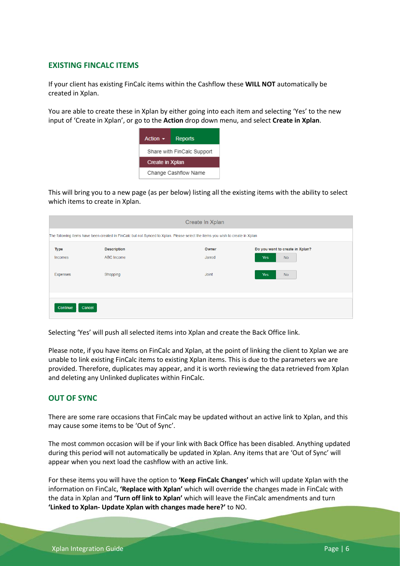#### <span id="page-6-0"></span>**EXISTING FINCALC ITEMS**

If your client has existing FinCalc items within the Cashflow these **WILL NOT** automatically be created in Xplan.

You are able to create these in Xplan by either going into each item and selecting 'Yes' to the new input of 'Create in Xplan', or go to the **Action** drop down menu, and select **Create in Xplan**.

| Action $\sim$              | <b>Reports</b> |  |
|----------------------------|----------------|--|
| Share with FinCalc Support |                |  |
| <b>Create in Xplan</b>     |                |  |
| Change Cashflow Name       |                |  |

This will bring you to a new page (as per below) listing all the existing items with the ability to select which items to create in Xplan.

|                                                                                                                               | Create In Xplan    |              |                                 |  |  |
|-------------------------------------------------------------------------------------------------------------------------------|--------------------|--------------|---------------------------------|--|--|
| The following items have been created in FinCalc but not Synced to Xplan. Please select the items you wish to create in Xplan |                    |              |                                 |  |  |
| <b>Type</b>                                                                                                                   | <b>Description</b> | Owner        | Do you want to create in Xplan? |  |  |
| Incomes                                                                                                                       | ABC Income         | Jarrod       | <b>No</b><br><b>Yes</b>         |  |  |
| Expenses                                                                                                                      | Shopping           | <b>Joint</b> | <b>No</b><br><b>Yes</b>         |  |  |
|                                                                                                                               |                    |              |                                 |  |  |
|                                                                                                                               |                    |              |                                 |  |  |
| Continue                                                                                                                      | Cancel             |              |                                 |  |  |

Selecting 'Yes' will push all selected items into Xplan and create the Back Office link.

Please note, if you have items on FinCalc and Xplan, at the point of linking the client to Xplan we are unable to link existing FinCalc items to existing Xplan items. This is due to the parameters we are provided. Therefore, duplicates may appear, and it is worth reviewing the data retrieved from Xplan and deleting any Unlinked duplicates within FinCalc.

#### <span id="page-6-1"></span>**OUT OF SYNC**

There are some rare occasions that FinCalc may be updated without an active link to Xplan, and this may cause some items to be 'Out of Sync'.

The most common occasion will be if your link with Back Office has been disabled. Anything updated during this period will not automatically be updated in Xplan. Any items that are 'Out of Sync' will appear when you next load the cashflow with an active link.

For these items you will have the option to **'Keep FinCalc Changes'** which will update Xplan with the information on FinCalc, **'Replace with Xplan'** which will override the changes made in FinCalc with the data in Xplan and **'Turn off link to Xplan'** which will leave the FinCalc amendments and turn **'Linked to Xplan- Update Xplan with changes made here?'** to NO.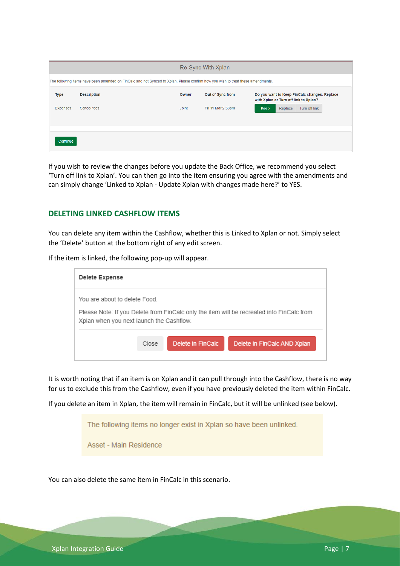| The following items have been amended on FinCalc and not Synced to Xplan. Please confirm how you wish to treat these amendments. |  |  |  |  |
|----------------------------------------------------------------------------------------------------------------------------------|--|--|--|--|
| Do you want to Keep FinCalc changes, Replace<br>with Xplan or Turn off link to Xplan?                                            |  |  |  |  |
| Turn off link                                                                                                                    |  |  |  |  |
|                                                                                                                                  |  |  |  |  |
|                                                                                                                                  |  |  |  |  |
| Replace                                                                                                                          |  |  |  |  |

If you wish to review the changes before you update the Back Office, we recommend you select 'Turn off link to Xplan'. You can then go into the item ensuring you agree with the amendments and can simply change 'Linked to Xplan - Update Xplan with changes made here?' to YES.

#### <span id="page-7-0"></span>**DELETING LINKED CASHFLOW ITEMS**

You can delete any item within the Cashflow, whether this is Linked to Xplan or not. Simply select the 'Delete' button at the bottom right of any edit screen.

If the item is linked, the following pop-up will appear.

| Delete Expense                                                            |       |                   |                                                                                           |  |
|---------------------------------------------------------------------------|-------|-------------------|-------------------------------------------------------------------------------------------|--|
| You are about to delete Food.<br>Xplan when you next launch the Cashflow. |       |                   | Please Note: If you Delete from FinCalc only the item will be recreated into FinCalc from |  |
|                                                                           | Close | Delete in FinCalc | Delete in FinCalc AND Xplan                                                               |  |

It is worth noting that if an item is on Xplan and it can pull through into the Cashflow, there is no way for us to exclude this from the Cashflow, even if you have previously deleted the item within FinCalc.

If you delete an item in Xplan, the item will remain in FinCalc, but it will be unlinked (see below).

The following items no longer exist in Xplan so have been unlinked.

Asset - Main Residence

You can also delete the same item in FinCalc in this scenario.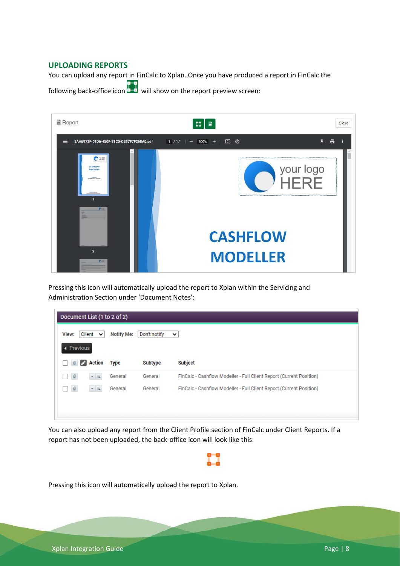#### <span id="page-8-0"></span>**UPLOADING REPORTS**

You can upload any report in FinCalc to Xplan. Once you have produced a report in FinCalc the

following back-office icon will show on the report preview screen:



Pressing this icon will automatically upload the report to Xplan within the Servicing and Administration Section under 'Document Notes':

| Document List (1 to 2 of 2) |        |                        |                   |                |                                                                     |
|-----------------------------|--------|------------------------|-------------------|----------------|---------------------------------------------------------------------|
| View:                       |        | Client<br>$\checkmark$ | <b>Notify Me:</b> | Don't notify   | v                                                                   |
| ◀ Previous                  |        |                        |                   |                |                                                                     |
|                             | 〃<br>a | Action                 | <b>Type</b>       | <b>Subtype</b> | <b>Subject</b>                                                      |
|                             | $\Box$ | $-2$                   | General           | General        | FinCalc - Cashflow Modeller - Full Client Report (Current Position) |
|                             | $\Box$ | $-2$                   | General           | General        | FinCalc - Cashflow Modeller - Full Client Report (Current Position) |
|                             |        |                        |                   |                |                                                                     |
|                             |        |                        |                   |                |                                                                     |

You can also upload any report from the Client Profile section of FinCalc under Client Reports. If a report has not been uploaded, the back-office icon will look like this:

Pressing this icon will automatically upload the report to Xplan.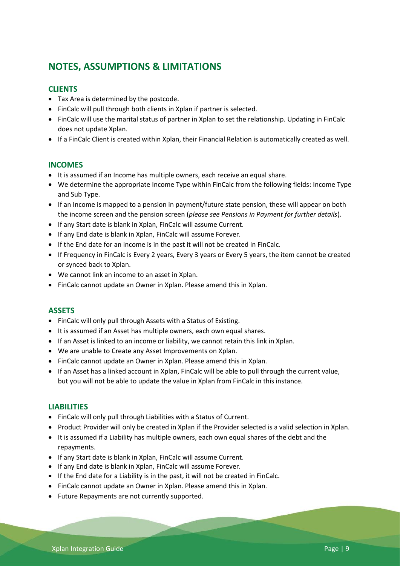## <span id="page-9-0"></span>**NOTES, ASSUMPTIONS & LIMITATIONS**

#### <span id="page-9-1"></span>**CLIENTS**

- Tax Area is determined by the postcode.
- FinCalc will pull through both clients in Xplan if partner is selected.
- FinCalc will use the marital status of partner in Xplan to set the relationship. Updating in FinCalc does not update Xplan.
- If a FinCalc Client is created within Xplan, their Financial Relation is automatically created as well.

#### <span id="page-9-2"></span>**INCOMES**

- It is assumed if an Income has multiple owners, each receive an equal share.
- We determine the appropriate Income Type within FinCalc from the following fields: Income Type and Sub Type.
- If an Income is mapped to a pension in payment/future state pension, these will appear on both the income screen and the pension screen (*please see Pensions in Payment for further details*).
- If any Start date is blank in Xplan, FinCalc will assume Current.
- If any End date is blank in Xplan, FinCalc will assume Forever.
- If the End date for an income is in the past it will not be created in FinCalc.
- If Frequency in FinCalc is Every 2 years, Every 3 years or Every 5 years, the item cannot be created or synced back to Xplan.
- We cannot link an income to an asset in Xplan.
- FinCalc cannot update an Owner in Xplan. Please amend this in Xplan.

#### <span id="page-9-3"></span>**ASSETS**

- FinCalc will only pull through Assets with a Status of Existing.
- It is assumed if an Asset has multiple owners, each own equal shares.
- If an Asset is linked to an income or liability, we cannot retain this link in Xplan.
- We are unable to Create any Asset Improvements on Xplan.
- FinCalc cannot update an Owner in Xplan. Please amend this in Xplan.
- If an Asset has a linked account in Xplan, FinCalc will be able to pull through the current value, but you will not be able to update the value in Xplan from FinCalc in this instance.

#### <span id="page-9-4"></span>**LIABILITIES**

- FinCalc will only pull through Liabilities with a Status of Current.
- Product Provider will only be created in Xplan if the Provider selected is a valid selection in Xplan.
- It is assumed if a Liability has multiple owners, each own equal shares of the debt and the repayments.
- If any Start date is blank in Xplan, FinCalc will assume Current.
- If any End date is blank in Xplan, FinCalc will assume Forever.
- If the End date for a Liability is in the past, it will not be created in FinCalc.
- FinCalc cannot update an Owner in Xplan. Please amend this in Xplan.
- Future Repayments are not currently supported.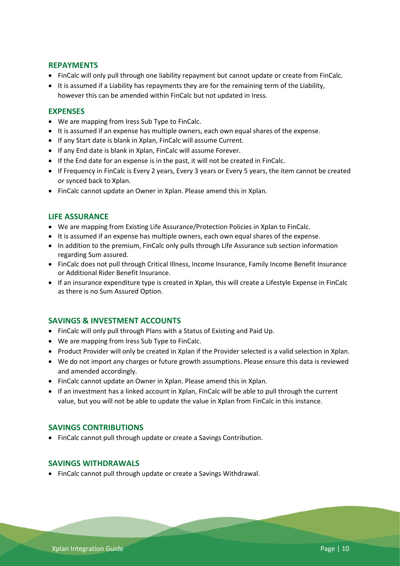#### <span id="page-10-0"></span>**REPAYMENTS**

- FinCalc will only pull through one liability repayment but cannot update or create from FinCalc.
- It is assumed if a Liability has repayments they are for the remaining term of the Liability, however this can be amended within FinCalc but not updated in Iress.

#### <span id="page-10-1"></span>**EXPENSES**

- We are mapping from Iress Sub Type to FinCalc.
- It is assumed if an expense has multiple owners, each own equal shares of the expense.
- If any Start date is blank in Xplan, FinCalc will assume Current.
- If any End date is blank in Xplan, FinCalc will assume Forever.
- If the End date for an expense is in the past, it will not be created in FinCalc.
- If Frequency in FinCalc is Every 2 years, Every 3 years or Every 5 years, the item cannot be created or synced back to Xplan.
- FinCalc cannot update an Owner in Xplan. Please amend this in Xplan.

#### <span id="page-10-2"></span>**LIFE ASSURANCE**

- We are mapping from Existing Life Assurance/Protection Policies in Xplan to FinCalc.
- It is assumed if an expense has multiple owners, each own equal shares of the expense.
- In addition to the premium, FinCalc only pulls through Life Assurance sub section information regarding Sum assured.
- FinCalc does not pull through Critical Illness, Income Insurance, Family Income Benefit Insurance or Additional Rider Benefit Insurance.
- If an insurance expenditure type is created in Xplan, this will create a Lifestyle Expense in FinCalc as there is no Sum Assured Option.

#### <span id="page-10-3"></span>**SAVINGS & INVESTMENT ACCOUNTS**

- FinCalc will only pull through Plans with a Status of Existing and Paid Up.
- We are mapping from Iress Sub Type to FinCalc.
- Product Provider will only be created in Xplan if the Provider selected is a valid selection in Xplan.
- We do not import any charges or future growth assumptions. Please ensure this data is reviewed and amended accordingly.
- FinCalc cannot update an Owner in Xplan. Please amend this in Xplan.
- If an investment has a linked account in Xplan, FinCalc will be able to pull through the current value, but you will not be able to update the value in Xplan from FinCalc in this instance.

#### <span id="page-10-4"></span>**SAVINGS CONTRIBUTIONS**

• FinCalc cannot pull through update or create a Savings Contribution.

#### <span id="page-10-5"></span>**SAVINGS WITHDRAWALS**

• FinCalc cannot pull through update or create a Savings Withdrawal.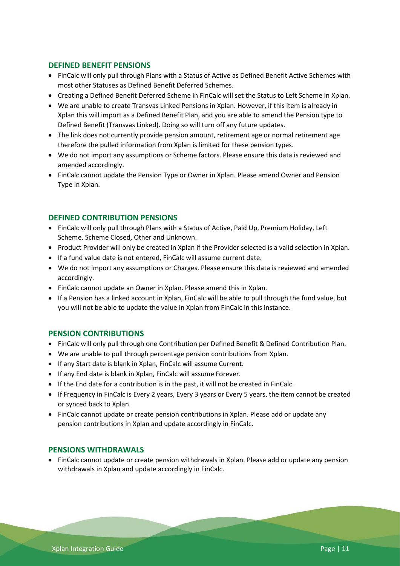#### <span id="page-11-0"></span>**DEFINED BENEFIT PENSIONS**

- FinCalc will only pull through Plans with a Status of Active as Defined Benefit Active Schemes with most other Statuses as Defined Benefit Deferred Schemes.
- Creating a Defined Benefit Deferred Scheme in FinCalc will set the Status to Left Scheme in Xplan.
- We are unable to create Transvas Linked Pensions in Xplan. However, if this item is already in Xplan this will import as a Defined Benefit Plan, and you are able to amend the Pension type to Defined Benefit (Transvas Linked). Doing so will turn off any future updates.
- The link does not currently provide pension amount, retirement age or normal retirement age therefore the pulled information from Xplan is limited for these pension types.
- We do not import any assumptions or Scheme factors. Please ensure this data is reviewed and amended accordingly.
- FinCalc cannot update the Pension Type or Owner in Xplan. Please amend Owner and Pension Type in Xplan.

#### <span id="page-11-1"></span>**DEFINED CONTRIBUTION PENSIONS**

- FinCalc will only pull through Plans with a Status of Active, Paid Up, Premium Holiday, Left Scheme, Scheme Closed, Other and Unknown.
- Product Provider will only be created in Xplan if the Provider selected is a valid selection in Xplan.
- If a fund value date is not entered, FinCalc will assume current date.
- We do not import any assumptions or Charges. Please ensure this data is reviewed and amended accordingly.
- FinCalc cannot update an Owner in Xplan. Please amend this in Xplan.
- If a Pension has a linked account in Xplan, FinCalc will be able to pull through the fund value, but you will not be able to update the value in Xplan from FinCalc in this instance.

#### <span id="page-11-2"></span>**PENSION CONTRIBUTIONS**

- FinCalc will only pull through one Contribution per Defined Benefit & Defined Contribution Plan.
- We are unable to pull through percentage pension contributions from Xplan.
- If any Start date is blank in Xplan, FinCalc will assume Current.
- If any End date is blank in Xplan, FinCalc will assume Forever.
- If the End date for a contribution is in the past, it will not be created in FinCalc.
- If Frequency in FinCalc is Every 2 years, Every 3 years or Every 5 years, the item cannot be created or synced back to Xplan.
- FinCalc cannot update or create pension contributions in Xplan. Please add or update any pension contributions in Xplan and update accordingly in FinCalc.

#### <span id="page-11-3"></span>**PENSIONS WITHDRAWALS**

• FinCalc cannot update or create pension withdrawals in Xplan. Please add or update any pension withdrawals in Xplan and update accordingly in FinCalc.